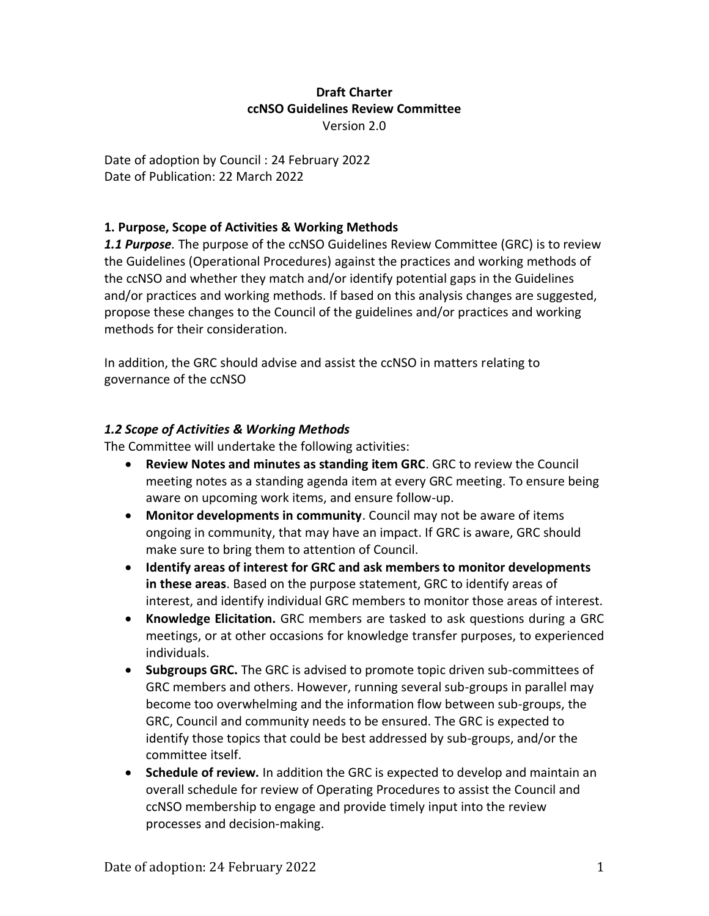#### **Draft Charter ccNSO Guidelines Review Committee** Version 2.0

Date of adoption by Council : 24 February 2022 Date of Publication: 22 March 2022

## **1. Purpose, Scope of Activities & Working Methods**

*1.1 Purpose.* The purpose of the ccNSO Guidelines Review Committee (GRC) is to review the Guidelines (Operational Procedures) against the practices and working methods of the ccNSO and whether they match and/or identify potential gaps in the Guidelines and/or practices and working methods. If based on this analysis changes are suggested, propose these changes to the Council of the guidelines and/or practices and working methods for their consideration.

In addition, the GRC should advise and assist the ccNSO in matters relating to governance of the ccNSO

# *1.2 Scope of Activities & Working Methods*

The Committee will undertake the following activities:

- **Review Notes and minutes as standing item GRC**. GRC to review the Council meeting notes as a standing agenda item at every GRC meeting. To ensure being aware on upcoming work items, and ensure follow-up.
- **Monitor developments in community**. Council may not be aware of items ongoing in community, that may have an impact. If GRC is aware, GRC should make sure to bring them to attention of Council.
- **Identify areas of interest for GRC and ask members to monitor developments in these areas**. Based on the purpose statement, GRC to identify areas of interest, and identify individual GRC members to monitor those areas of interest.
- **Knowledge Elicitation.** GRC members are tasked to ask questions during a GRC meetings, or at other occasions for knowledge transfer purposes, to experienced individuals.
- **Subgroups GRC.** The GRC is advised to promote topic driven sub-committees of GRC members and others. However, running several sub-groups in parallel may become too overwhelming and the information flow between sub-groups, the GRC, Council and community needs to be ensured. The GRC is expected to identify those topics that could be best addressed by sub-groups, and/or the committee itself.
- **Schedule of review.** In addition the GRC is expected to develop and maintain an overall schedule for review of Operating Procedures to assist the Council and ccNSO membership to engage and provide timely input into the review processes and decision-making.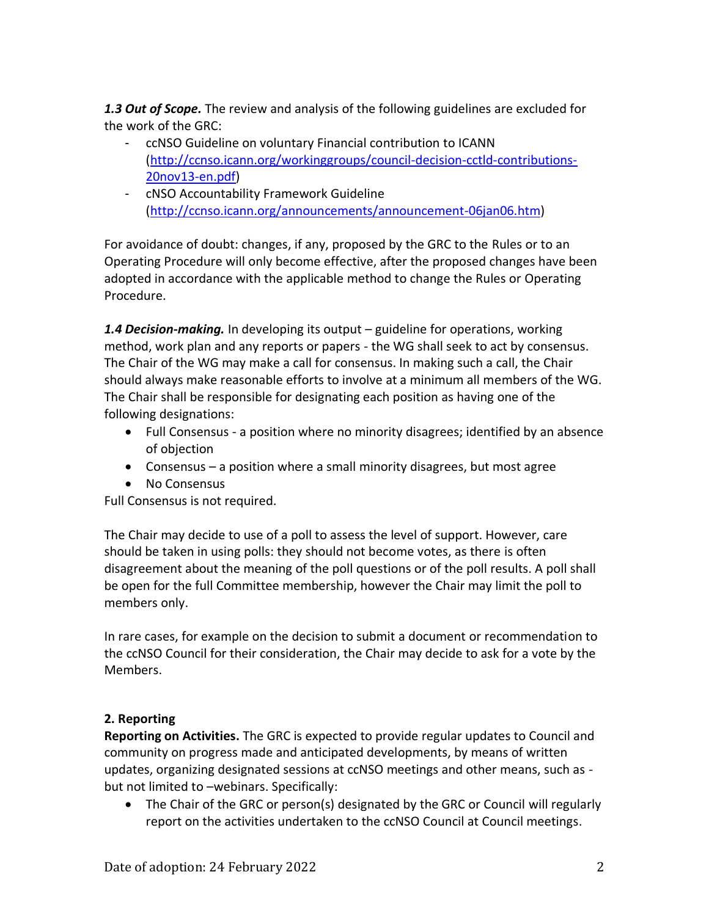*1.3 Out of Scope.* The review and analysis of the following guidelines are excluded for the work of the GRC:

- ccNSO Guideline on voluntary Financial contribution to ICANN [\(http://ccnso.icann.org/workinggroups/council-decision-cctld-contributions-](http://ccnso.icann.org/workinggroups/council-decision-cctld-contributions-20nov13-en.pdf)[20nov13-en.pdf\)](http://ccnso.icann.org/workinggroups/council-decision-cctld-contributions-20nov13-en.pdf)
- cNSO Accountability Framework Guideline [\(http://ccnso.icann.org/announcements/announcement-06jan06.htm\)](http://ccnso.icann.org/announcements/announcement-06jan06.htm)

For avoidance of doubt: changes, if any, proposed by the GRC to the Rules or to an Operating Procedure will only become effective, after the proposed changes have been adopted in accordance with the applicable method to change the Rules or Operating Procedure.

*1.4 Decision-making.* In developing its output – guideline for operations, working method, work plan and any reports or papers - the WG shall seek to act by consensus. The Chair of the WG may make a call for consensus. In making such a call, the Chair should always make reasonable efforts to involve at a minimum all members of the WG. The Chair shall be responsible for designating each position as having one of the following designations:

- Full Consensus a position where no minority disagrees; identified by an absence of objection
- Consensus a position where a small minority disagrees, but most agree
- No Consensus

Full Consensus is not required.

The Chair may decide to use of a poll to assess the level of support. However, care should be taken in using polls: they should not become votes, as there is often disagreement about the meaning of the poll questions or of the poll results. A poll shall be open for the full Committee membership, however the Chair may limit the poll to members only.

In rare cases, for example on the decision to submit a document or recommendation to the ccNSO Council for their consideration, the Chair may decide to ask for a vote by the Members.

# **2. Reporting**

**Reporting on Activities.** The GRC is expected to provide regular updates to Council and community on progress made and anticipated developments, by means of written updates, organizing designated sessions at ccNSO meetings and other means, such as but not limited to –webinars. Specifically:

• The Chair of the GRC or person(s) designated by the GRC or Council will regularly report on the activities undertaken to the ccNSO Council at Council meetings.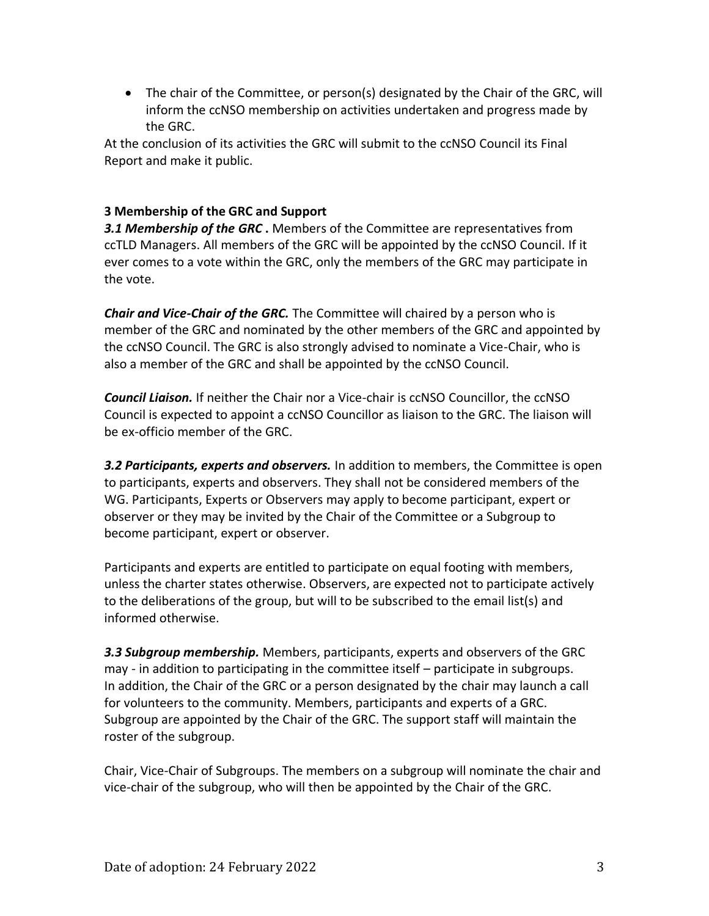• The chair of the Committee, or person(s) designated by the Chair of the GRC, will inform the ccNSO membership on activities undertaken and progress made by the GRC.

At the conclusion of its activities the GRC will submit to the ccNSO Council its Final Report and make it public.

# **3 Membership of the GRC and Support**

**3.1 Membership of the GRC**. Members of the Committee are representatives from ccTLD Managers. All members of the GRC will be appointed by the ccNSO Council. If it ever comes to a vote within the GRC, only the members of the GRC may participate in the vote.

*Chair and Vice-Chair of the GRC.* The Committee will chaired by a person who is member of the GRC and nominated by the other members of the GRC and appointed by the ccNSO Council. The GRC is also strongly advised to nominate a Vice-Chair, who is also a member of the GRC and shall be appointed by the ccNSO Council.

*Council Liaison.* If neither the Chair nor a Vice-chair is ccNSO Councillor, the ccNSO Council is expected to appoint a ccNSO Councillor as liaison to the GRC. The liaison will be ex-officio member of the GRC.

*3.2 Participants, experts and observers.* In addition to members, the Committee is open to participants, experts and observers. They shall not be considered members of the WG. Participants, Experts or Observers may apply to become participant, expert or observer or they may be invited by the Chair of the Committee or a Subgroup to become participant, expert or observer.

Participants and experts are entitled to participate on equal footing with members, unless the charter states otherwise. Observers, are expected not to participate actively to the deliberations of the group, but will to be subscribed to the email list(s) and informed otherwise.

*3.3 Subgroup membership.* Members, participants, experts and observers of the GRC may - in addition to participating in the committee itself – participate in subgroups. In addition, the Chair of the GRC or a person designated by the chair may launch a call for volunteers to the community. Members, participants and experts of a GRC. Subgroup are appointed by the Chair of the GRC. The support staff will maintain the roster of the subgroup.

Chair, Vice-Chair of Subgroups. The members on a subgroup will nominate the chair and vice-chair of the subgroup, who will then be appointed by the Chair of the GRC.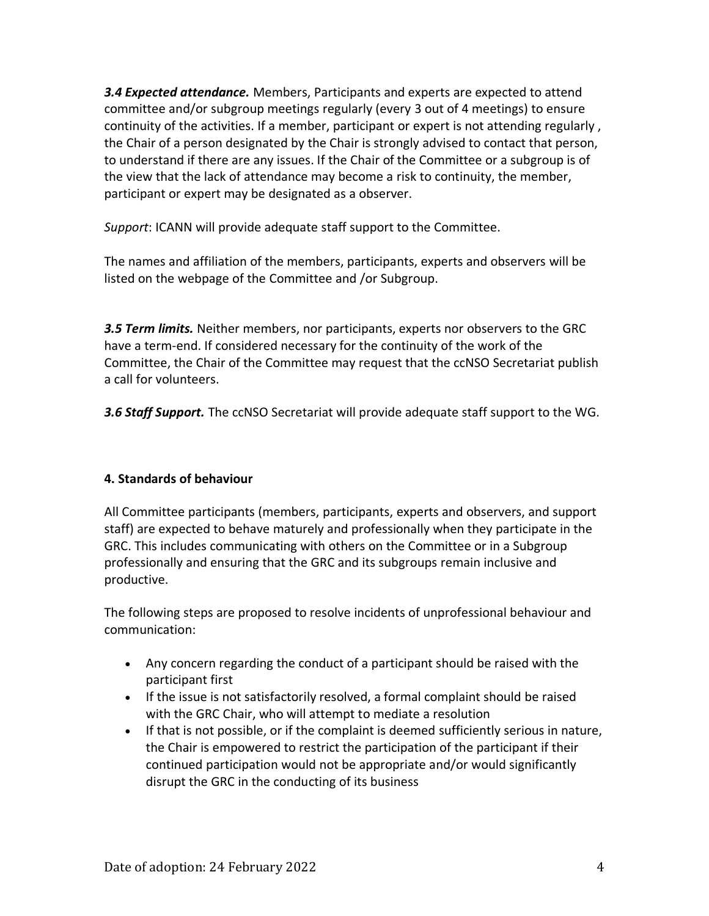*3.4 Expected attendance.* Members, Participants and experts are expected to attend committee and/or subgroup meetings regularly (every 3 out of 4 meetings) to ensure continuity of the activities. If a member, participant or expert is not attending regularly , the Chair of a person designated by the Chair is strongly advised to contact that person, to understand if there are any issues. If the Chair of the Committee or a subgroup is of the view that the lack of attendance may become a risk to continuity, the member, participant or expert may be designated as a observer.

*Support*: ICANN will provide adequate staff support to the Committee.

The names and affiliation of the members, participants, experts and observers will be listed on the webpage of the Committee and /or Subgroup.

*3.5 Term limits.* Neither members, nor participants, experts nor observers to the GRC have a term-end. If considered necessary for the continuity of the work of the Committee, the Chair of the Committee may request that the ccNSO Secretariat publish a call for volunteers.

*3.6 Staff Support.* The ccNSO Secretariat will provide adequate staff support to the WG.

# **4. Standards of behaviour**

All Committee participants (members, participants, experts and observers, and support staff) are expected to behave maturely and professionally when they participate in the GRC. This includes communicating with others on the Committee or in a Subgroup professionally and ensuring that the GRC and its subgroups remain inclusive and productive.

The following steps are proposed to resolve incidents of unprofessional behaviour and communication:

- Any concern regarding the conduct of a participant should be raised with the participant first
- If the issue is not satisfactorily resolved, a formal complaint should be raised with the GRC Chair, who will attempt to mediate a resolution
- If that is not possible, or if the complaint is deemed sufficiently serious in nature, the Chair is empowered to restrict the participation of the participant if their continued participation would not be appropriate and/or would significantly disrupt the GRC in the conducting of its business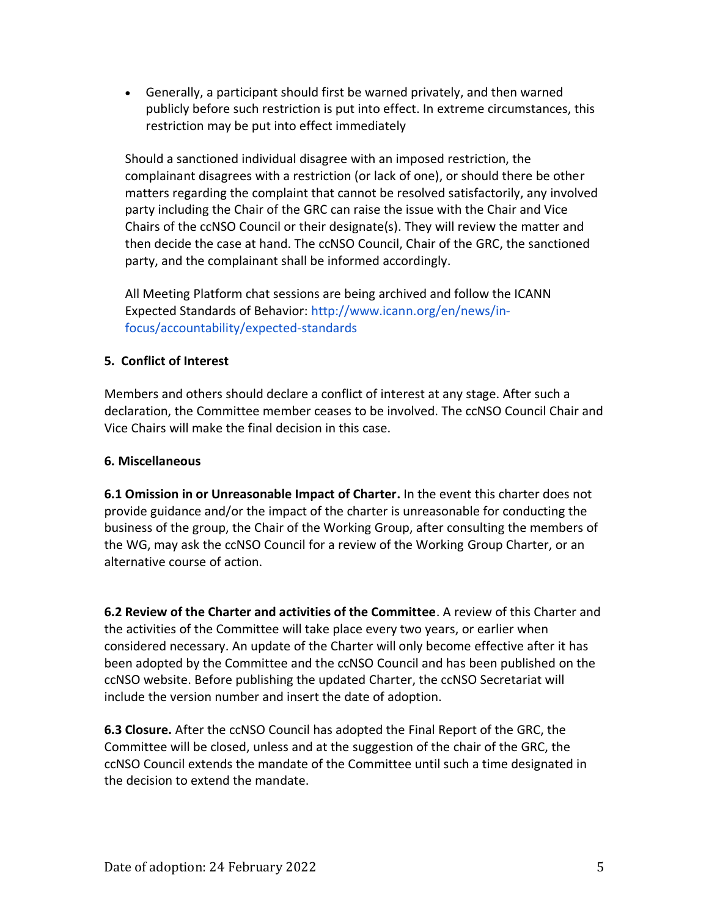• Generally, a participant should first be warned privately, and then warned publicly before such restriction is put into effect. In extreme circumstances, this restriction may be put into effect immediately

Should a sanctioned individual disagree with an imposed restriction, the complainant disagrees with a restriction (or lack of one), or should there be other matters regarding the complaint that cannot be resolved satisfactorily, any involved party including the Chair of the GRC can raise the issue with the Chair and Vice Chairs of the ccNSO Council or their designate(s). They will review the matter and then decide the case at hand. The ccNSO Council, Chair of the GRC, the sanctioned party, and the complainant shall be informed accordingly.

All Meeting Platform chat sessions are being archived and follow the ICANN Expected Standards of Behavior: http://www.icann.org/en/news/infocus/accountability/expected-standards

## **5. Conflict of Interest**

Members and others should declare a conflict of interest at any stage. After such a declaration, the Committee member ceases to be involved. The ccNSO Council Chair and Vice Chairs will make the final decision in this case.

## **6. Miscellaneous**

**6.1 Omission in or Unreasonable Impact of Charter.** In the event this charter does not provide guidance and/or the impact of the charter is unreasonable for conducting the business of the group, the Chair of the Working Group, after consulting the members of the WG, may ask the ccNSO Council for a review of the Working Group Charter, or an alternative course of action.

**6.2 Review of the Charter and activities of the Committee**. A review of this Charter and the activities of the Committee will take place every two years, or earlier when considered necessary. An update of the Charter will only become effective after it has been adopted by the Committee and the ccNSO Council and has been published on the ccNSO website. Before publishing the updated Charter, the ccNSO Secretariat will include the version number and insert the date of adoption.

**6.3 Closure.** After the ccNSO Council has adopted the Final Report of the GRC, the Committee will be closed, unless and at the suggestion of the chair of the GRC, the ccNSO Council extends the mandate of the Committee until such a time designated in the decision to extend the mandate.